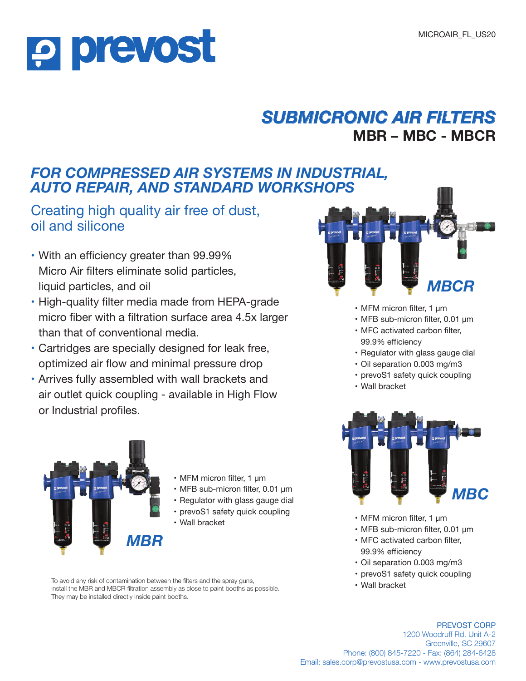# **P prevost**

## *SUBMICRONIC AIR FILTERS* **MBR – MBC - MBCR**

#### *FOR COMPRESSED AIR SYSTEMS IN INDUSTRIAL, AUTO REPAIR, AND STANDARD WORKSHOPS*

#### Creating high quality air free of dust, oil and silicone

- **•** With an efficiency greater than 99.99% Micro Air filters eliminate solid particles, liquid particles, and oil
- **•** High-quality filter media made from HEPA-grade micro fiber with a filtration surface area 4.5x larger than that of conventional media.
- **•** Cartridges are specially designed for leak free, optimized air flow and minimal pressure drop
- **•** Arrives fully assembled with wall brackets and air outlet quick coupling - available in High Flow or Industrial profiles.



- MFM micron filter, 1 μm
- MFB sub-micron filter, 0.01 μm
- Regulator with glass gauge dial
- prevoS1 safety quick coupling
- 

To avoid any risk of contamination between the filters and the spray guns, install the MBR and MBCR filtration assembly as close to paint booths as possible. They may be installed directly inside paint booths.



- MFM micron filter, 1 μm
- MFB sub-micron filter, 0.01 μm
- MFC activated carbon filter, 99.9% efficiency
- Regulator with glass gauge dial
- Oil separation 0.003 mg/m3
- prevoS1 safety quick coupling
- Wall bracket



- Wall bracket MFM micron filter, 1 μm
	- MFB sub-micron filter, 0.01 μm
	- MFC activated carbon filter, 99.9% efficiency
	- Oil separation 0.003 mg/m3
	- prevoS1 safety quick coupling
	- Wall bracket

PREVOST CORP 1200 Woodruff Rd. Unit A-2 Greenville, SC 29607 Phone: (800) 845-7220 - Fax: (864) 284-6428 Email: sales.corp@prevostusa.com - www.prevostusa.com